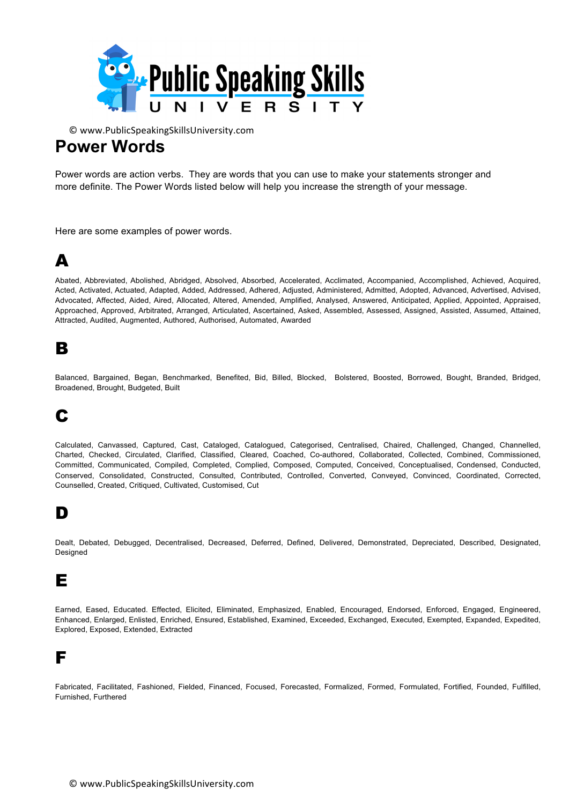

### **Power Words**

Power words are action verbs. They are words that you can use to make your statements stronger and more definite. The Power Words listed below will help you increase the strength of your message.

Here are some examples of power words.

#### A

Abated, Abbreviated, Abolished, Abridged, Absolved, Absorbed, Accelerated, Acclimated, Accompanied, Accomplished, Achieved, Acquired, Acted, Activated, Actuated, Adapted, Added, Addressed, Adhered, Adiusted, Administered, Admitted, Adopted, Advanced, Advertised, Advised, Advocated, Affected, Aided, Aired, Allocated, Altered, Amended, Amplified, Analysed, Answered, Anticipated, Applied, Appointed, Appraised, Approached, Approved, Arbitrated, Arranged, Articulated, Ascertained, Asked, Assembled, Assessed, Assigned, Assisted, Assumed, Attained, Attracted, Audited, Augmented, Authored, Authorised, Automated, Awarded

#### B

Balanced, Bargained, Began, Benchmarked, Benefited, Bid, Billed, Blocked, Bolstered, Boosted, Borrowed, Bought, Branded, Bridged, Broadened, Brought, Budgeted, Built

# C

Calculated, Canvassed, Captured, Cast, Cataloged, Catalogued, Categorised, Centralised, Chaired, Challenged, Changed, Channelled, Charted, Checked, Circulated, Clarified, Classified, Cleared, Coached, Co-authored, Collaborated, Collected, Combined, Commissioned, Committed, Communicated, Compiled, Completed, Complied, Composed, Computed, Conceived, Conceptualised, Condensed, Conducted, Conserved, Consolidated, Constructed, Consulted, Contributed, Controlled, Converted, Conveyed, Convinced, Coordinated, Corrected, Counselled, Created, Critiqued, Cultivated, Customised, Cut

#### D

Dealt, Debated, Debugged, Decentralised, Decreased, Deferred, Defined, Delivered, Demonstrated, Depreciated, Described, Designated, Designed

#### E

Earned, Eased, Educated. Effected, Elicited, Eliminated, Emphasized, Enabled, Encouraged, Endorsed, Enforced, Engaged, Engineered, Enhanced, Enlarged, Enlisted, Enriched, Ensured, Established, Examined, Exceeded, Exchanged, Executed, Exempted, Expanded, Expedited, Explored, Exposed, Extended, Extracted

#### F

Fabricated, Facilitated, Fashioned, Fielded, Financed, Focused, Forecasted, Formalized, Formed, Formulated, Fortified, Founded, Fulfilled, Furnished, Furthered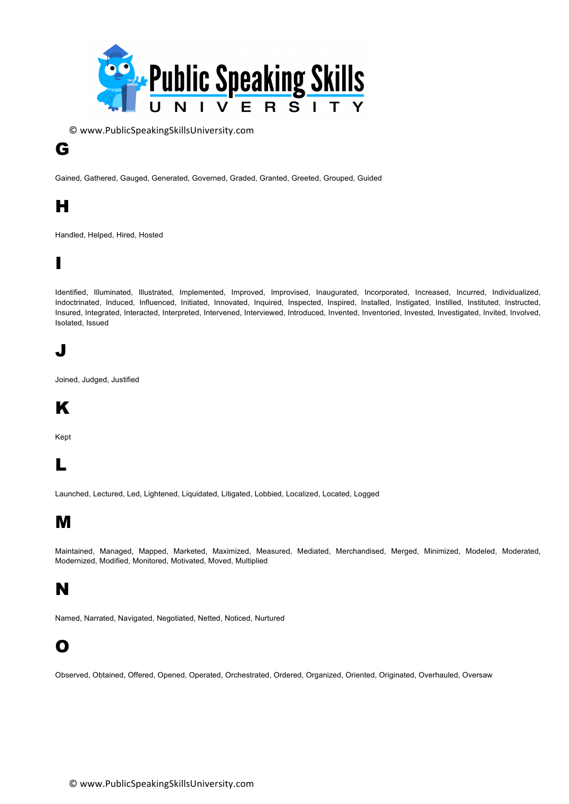

#### G

Gained, Gathered, Gauged, Generated, Governed, Graded, Granted, Greeted, Grouped, Guided

### H

Handled, Helped, Hired, Hosted

### I

Identified, Illuminated, Illustrated, Implemented, Improved, Improvised, Inaugurated, Incorporated, Increased, Incurred, Individualized, Indoctrinated, Induced, Influenced, Initiated, Innovated, Inquired, Inspected, Inspired, Installed, Instigated, Instilled, Instituted, Instructed, Insured, Integrated, Interacted, Interpreted, Intervened, Interviewed, Introduced, Invented, Inventoried, Invested, Investigated, Invited, Involved, Isolated, Issued

### J

Joined, Judged, Justified

# K

Kept

# L

Launched, Lectured, Led, Lightened, Liquidated, Litigated, Lobbied, Localized, Located, Logged

# M

Maintained, Managed, Mapped, Marketed, Maximized, Measured, Mediated, Merchandised, Merged, Minimized, Modeled, Moderated, Modernized, Modified, Monitored, Motivated, Moved, Multiplied

# N

Named, Narrated, Navigated, Negotiated, Netted, Noticed, Nurtured

#### O

Observed, Obtained, Offered, Opened, Operated, Orchestrated, Ordered, Organized, Oriented, Originated, Overhauled, Oversaw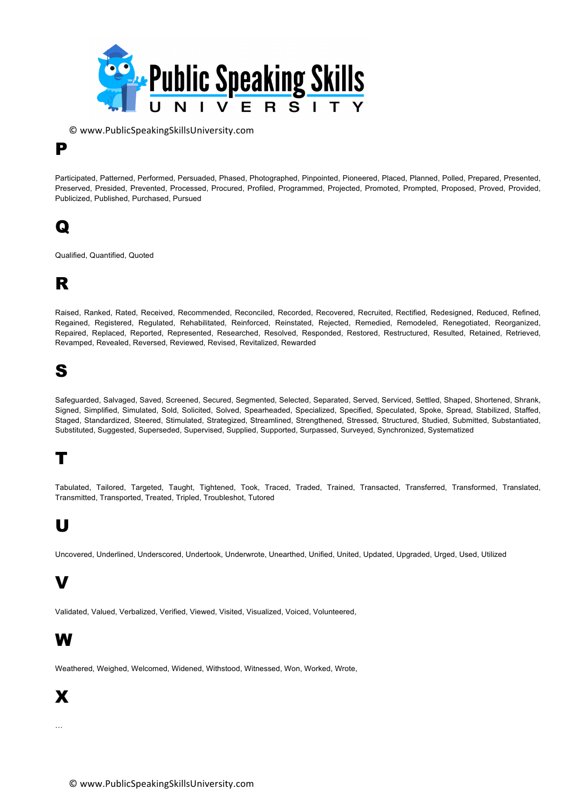

Participated, Patterned, Performed, Persuaded, Phased, Photographed, Pinpointed, Pioneered, Placed, Planned, Polled, Prepared, Presented, Preserved, Presided, Prevented, Processed, Procured, Profiled, Programmed, Projected, Promoted, Prompted, Proposed, Proved, Provided, Publicized, Published, Purchased, Pursued

#### Q

P

Qualified, Quantified, Quoted

# R

Raised, Ranked, Rated, Received, Recommended, Reconciled, Recorded, Recovered, Recruited, Rectified, Redesigned, Reduced, Refined, Regained, Registered, Regulated, Rehabilitated, Reinforced, Reinstated, Rejected, Remedied, Remodeled, Renegotiated, Reorganized, Repaired, Replaced, Reported, Represented, Researched, Resolved, Responded, Restored, Restructured, Resulted, Retained, Retrieved, Revamped, Revealed, Reversed, Reviewed, Revised, Revitalized, Rewarded

# S

Safeguarded, Salvaged, Saved, Screened, Secured, Segmented, Selected, Separated, Served, Serviced, Settled, Shaped, Shortened, Shrank, Signed, Simplified, Simulated, Sold, Solicited, Solved, Spearheaded, Specialized, Specified, Speculated, Spoke, Spread, Stabilized, Staffed, Staged, Standardized, Steered, Stimulated, Strategized, Streamlined, Strengthened, Stressed, Structured, Studied, Submitted, Substantiated, Substituted, Suggested, Superseded, Supervised, Supplied, Supported, Surpassed, Surveyed, Synchronized, Systematized

# T

Tabulated, Tailored, Targeted, Taught, Tightened, Took, Traced, Traded, Trained, Transacted, Transferred, Transformed, Translated, Transmitted, Transported, Treated, Tripled, Troubleshot, Tutored

### U

Uncovered, Underlined, Underscored, Undertook, Underwrote, Unearthed, Unified, United, Updated, Upgraded, Urged, Used, Utilized

#### V

Validated, Valued, Verbalized, Verified, Viewed, Visited, Visualized, Voiced, Volunteered,

# W

Weathered, Weighed, Welcomed, Widened, Withstood, Witnessed, Won, Worked, Wrote,

#### X

…

© www.PublicSpeakingSkillsUniversity.com